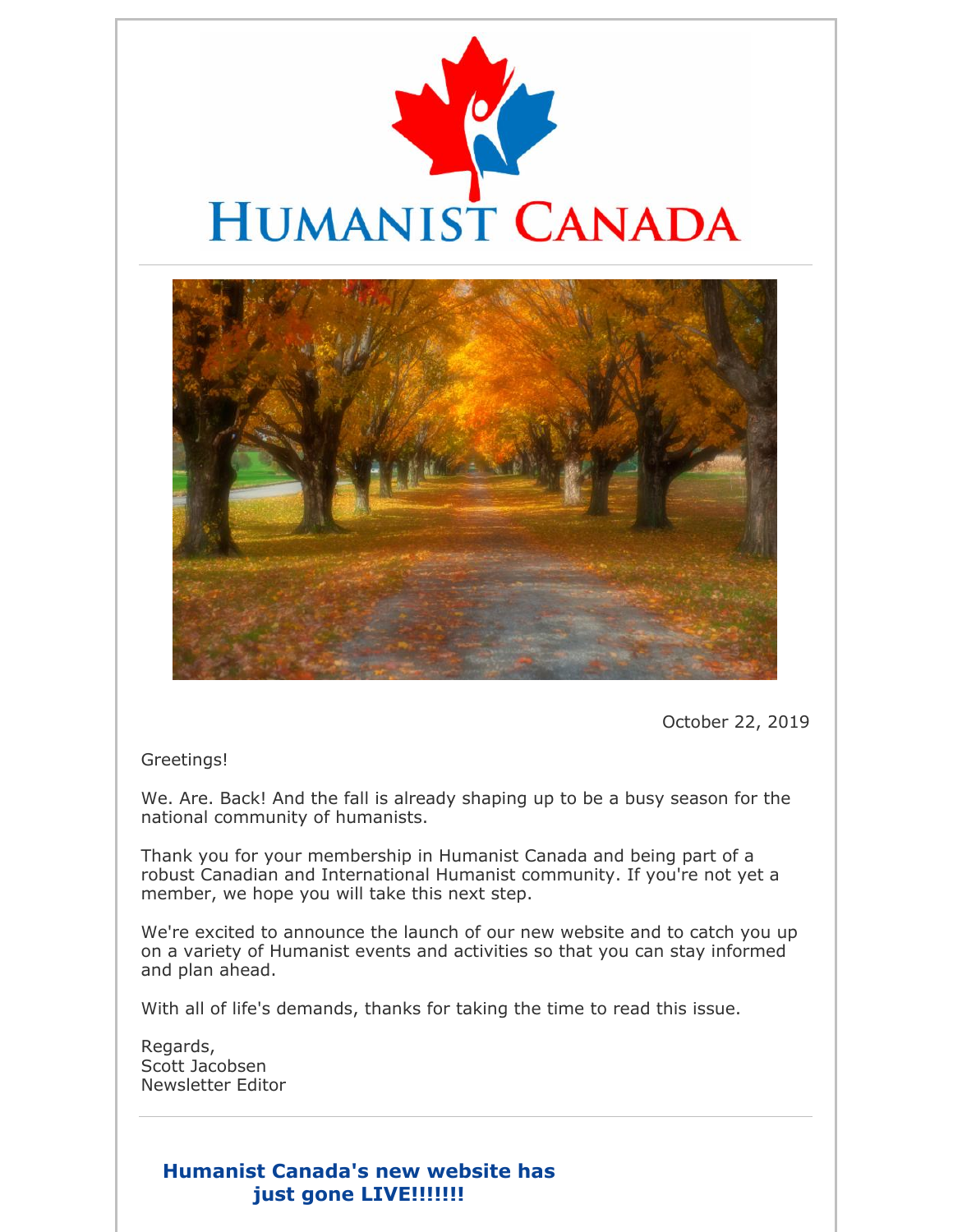



October 22, 2019

Greetings!

We. Are. Back! And the fall is already shaping up to be a busy season for the national community of humanists.

Thank you for your membership in Humanist Canada and being part of a robust Canadian and International Humanist community. If you're not yet a member, we hope you will take this next step.

We're excited to announce the launch of our new website and to catch you up on a variety of Humanist events and activities so that you can stay informed and plan ahead.

With all of life's demands, thanks for taking the time to read this issue.

Regards, Scott Jacobsen Newsletter Editor

### **Humanist Canada's new website has just gone LIVE!!!!!!!**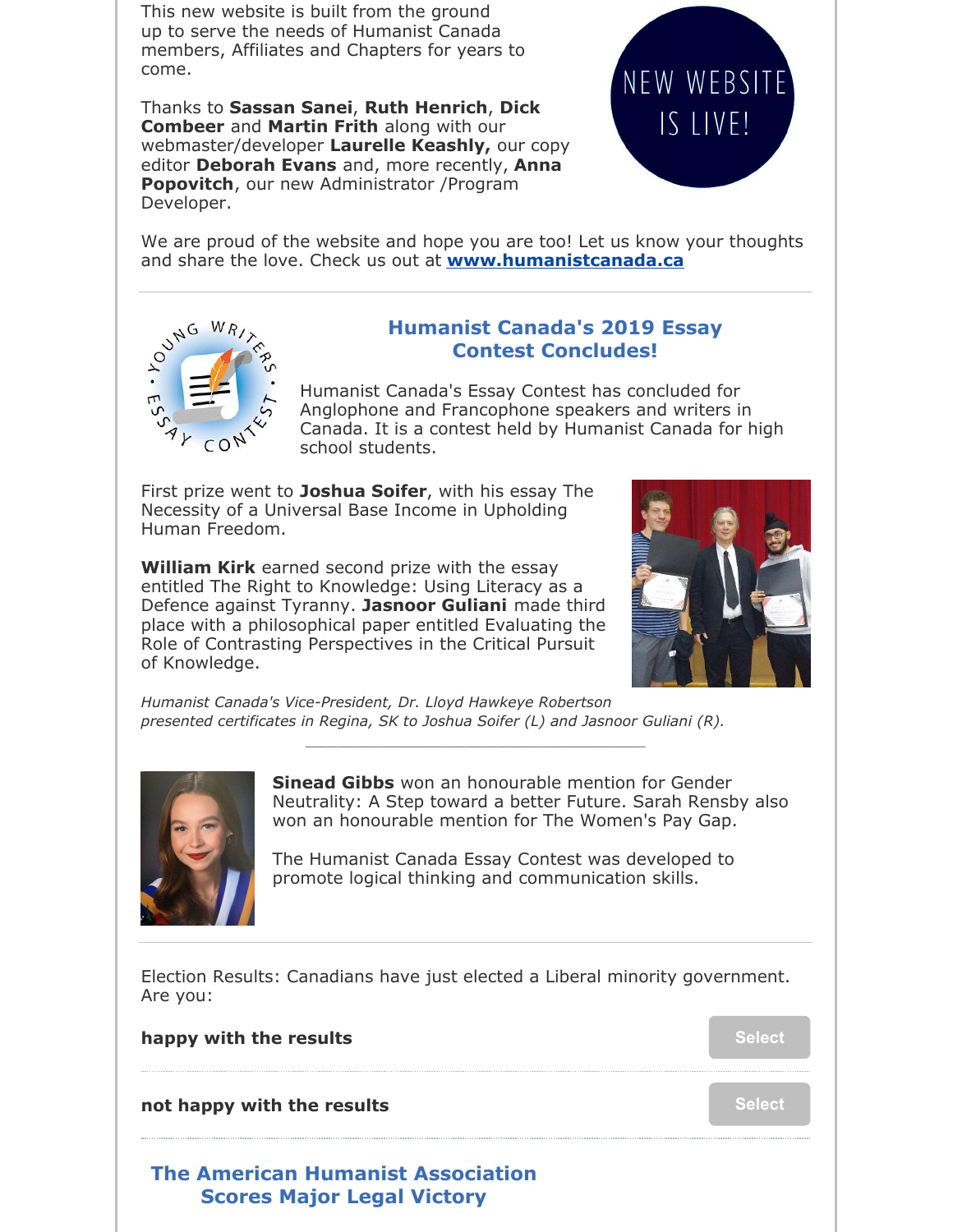This new website is built from the ground up to serve the needs of Humanist Canada members, Affiliates and Chapters for years to come.

Thanks to **Sassan Sanei**, **Ruth Henrich**, **Dick Combeer** and **Martin Frith** along with our webmaster/developer **Laurelle Keashly,** our copy editor **Deborah Evans** and, more recently, **Anna Popovitch**, our new Administrator /Program Developer.



We are proud of the website and hope you are too! Let us know your thoughts and share the love. Check us out at **www.humanistcanada.ca**



### **Humanist Canada's 2019 Essay Contest Concludes!**

Humanist Canada's Essay Contest has concluded for Anglophone and Francophone speakers and writers in Canada. It is a contest held by Humanist Canada for high school students.

First prize went to **Joshua Soifer**, with his essay The Necessity of a Universal Base Income in Upholding Human Freedom.

**William Kirk** earned second prize with the essay entitled The Right to Knowledge: Using Literacy as a Defence against Tyranny. **Jasnoor Guliani** made third place with a philosophical paper entitled Evaluating the Role of Contrasting Perspectives in the Critical Pursuit of Knowledge.



*Humanist Canada's Vice-President, Dr. Lloyd Hawkeye Robertson presented certificates in Regina, SK to Joshua Soifer (L) and Jasnoor Guliani (R).*

\_\_\_\_\_\_\_\_\_\_\_\_\_\_\_\_\_\_\_\_\_\_\_\_\_\_\_\_\_\_\_\_



**Sinead Gibbs** won an honourable mention for Gender Neutrality: A Step toward a better Future. Sarah Rensby also won an honourable mention for The Women's Pay Gap.

The Humanist Canada Essay Contest was developed to promote logical thinking and communication skills.

Election Results: Canadians have just elected a Liberal minority government. Are you:

### **happy** with the results **Select Select Select**

**not happy with the results Select Select Select** 

# **The American Humanist Association Scores Major Legal Victory**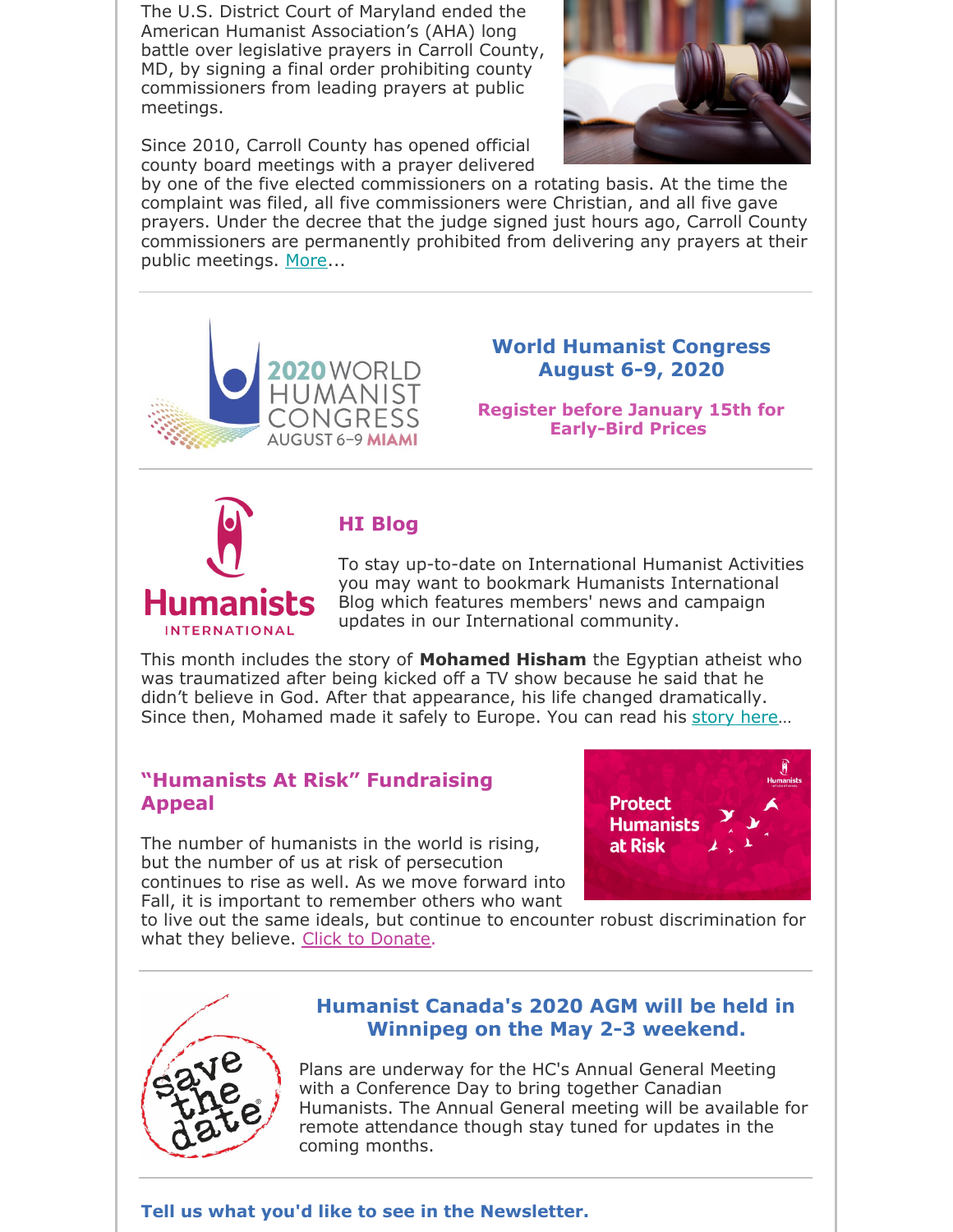The U.S. District Court of Maryland ended the American Humanist Association's (AHA) long battle over legislative prayers in Carroll County, MD, by signing a final order prohibiting county commissioners from leading prayers at public meetings.

Since 2010, Carroll County has opened official county board meetings with a prayer delivered



by one of the five elected commissioners on a rotating basis. At the time the complaint was filed, all five commissioners were Christian, and all five gave prayers. Under the decree that the judge signed just hours ago, Carroll County commissioners are permanently prohibited from delivering any prayers at their public meetings. More...



**INTERNATIONAL** 

### **World Humanist Congress August 6-9, 2020**

**Register before January 15th for Early-Bird Prices**

# **HI Blog**

#### To stay up-to-date on International Humanist Activities you may want to bookmark Humanists International Blog which features members' news and campaign updates in our International community.

This month includes the story of **Mohamed Hisham** the Egyptian atheist who was traumatized after being kicked off a TV show because he said that he didn't believe in God. After that appearance, his life changed dramatically. Since then, Mohamed made it safely to Europe. You can read his story here…

### **"Humanists At Risk" Fundraising Appeal**

The number of humanists in the world is rising, but the number of us at risk of persecution continues to rise as well. As we move forward into Fall, it is important to remember others who want



to live out the same ideals, but continue to encounter robust discrimination for what they believe. Click to Donate.



## **Humanist Canada's 2020 AGM will be held in Winnipeg on the May 2-3 weekend.**

Plans are underway for the HC's Annual General Meeting with a Conference Day to bring together Canadian Humanists. The Annual General meeting will be available for remote attendance though stay tuned for updates in the coming months.

### **Tell us what you'd like to see in the Newsletter.**